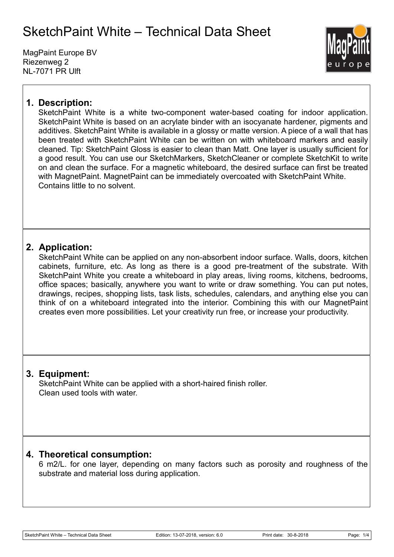MagPaint Europe BV Riezenweg 2 NL-7071 PR Ulft



## **1. Description:**

SketchPaint White is a white two-component water-based coating for indoor application. SketchPaint White is based on an acrylate binder with an isocyanate hardener, pigments and additives. SketchPaint White is available in a glossy or matte version. A piece of a wall that has been treated with SketchPaint White can be written on with whiteboard markers and easily cleaned. Tip: SketchPaint Gloss is easier to clean than Matt. One layer is usually sufficient for a good result. You can use our SketchMarkers, SketchCleaner or complete SketchKit to write on and clean the surface. For a magnetic whiteboard, the desired surface can first be treated with MagnetPaint. MagnetPaint can be immediately overcoated with SketchPaint White. Contains little to no solvent.

### **2. Application:**

SketchPaint White can be applied on any non-absorbent indoor surface. Walls, doors, kitchen cabinets, furniture, etc. As long as there is a good pre-treatment of the substrate. With SketchPaint White you create a whiteboard in play areas, living rooms, kitchens, bedrooms, office spaces; basically, anywhere you want to write or draw something. You can put notes, drawings, recipes, shopping lists, task lists, schedules, calendars, and anything else you can think of on a whiteboard integrated into the interior. Combining this with our MagnetPaint creates even more possibilities. Let your creativity run free, or increase your productivity.

### **3. Equipment:**

SketchPaint White can be applied with a short-haired finish roller. Clean used tools with water.

### **4. Theoretical consumption:**

6 m2/L. for one layer, depending on many factors such as porosity and roughness of the substrate and material loss during application.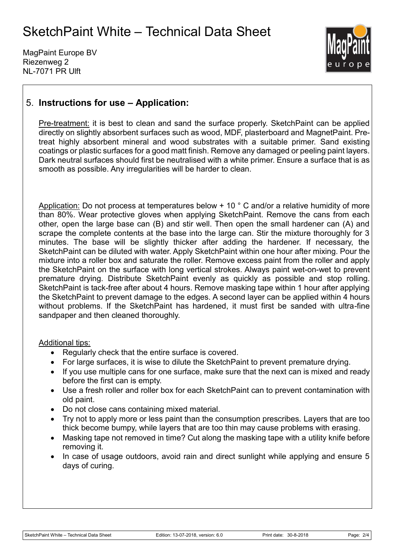MagPaint Europe BV Riezenweg 2 NL-7071 PR Ulft



## 5. **Instructions for use – Application:**

Pre-treatment: it is best to clean and sand the surface properly. SketchPaint can be applied directly on slightly absorbent surfaces such as wood, MDF, plasterboard and MagnetPaint. Pretreat highly absorbent mineral and wood substrates with a suitable primer. Sand existing coatings or plastic surfaces for a good matt finish. Remove any damaged or peeling paint layers. Dark neutral surfaces should first be neutralised with a white primer. Ensure a surface that is as smooth as possible. Any irregularities will be harder to clean.

Application: Do not process at temperatures below + 10 ° C and/or a relative humidity of more than 80%. Wear protective gloves when applying SketchPaint. Remove the cans from each other, open the large base can (B) and stir well. Then open the small hardener can (A) and scrape the complete contents at the base into the large can. Stir the mixture thoroughly for 3 minutes. The base will be slightly thicker after adding the hardener. If necessary, the SketchPaint can be diluted with water. Apply SketchPaint within one hour after mixing. Pour the mixture into a roller box and saturate the roller. Remove excess paint from the roller and apply the SketchPaint on the surface with long vertical strokes. Always paint wet-on-wet to prevent premature drying. Distribute SketchPaint evenly as quickly as possible and stop rolling. SketchPaint is tack-free after about 4 hours. Remove masking tape within 1 hour after applying the SketchPaint to prevent damage to the edges. A second layer can be applied within 4 hours without problems. If the SketchPaint has hardened, it must first be sanded with ultra-fine sandpaper and then cleaned thoroughly.

#### Additional tips:

- Regularly check that the entire surface is covered.
- For large surfaces, it is wise to dilute the SketchPaint to prevent premature drying.
- If you use multiple cans for one surface, make sure that the next can is mixed and ready before the first can is empty.
- Use a fresh roller and roller box for each SketchPaint can to prevent contamination with old paint.
- Do not close cans containing mixed material.
- Try not to apply more or less paint than the consumption prescribes. Layers that are too thick become bumpy, while layers that are too thin may cause problems with erasing.
- Masking tape not removed in time? Cut along the masking tape with a utility knife before removing it.
- In case of usage outdoors, avoid rain and direct sunlight while applying and ensure 5 days of curing.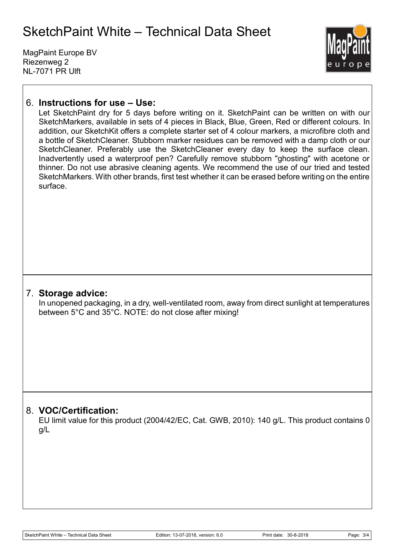MagPaint Europe BV Riezenweg 2 NL-7071 PR Ulft



## 6. **Instructions for use – Use:**

Let SketchPaint dry for 5 days before writing on it. SketchPaint can be written on with our SketchMarkers, available in sets of 4 pieces in Black, Blue, Green, Red or different colours. In addition, our SketchKit offers a complete starter set of 4 colour markers, a microfibre cloth and a bottle of SketchCleaner. Stubborn marker residues can be removed with a damp cloth or our SketchCleaner. Preferably use the SketchCleaner every day to keep the surface clean. Inadvertently used a waterproof pen? Carefully remove stubborn "ghosting" with acetone or thinner. Do not use abrasive cleaning agents. We recommend the use of our tried and tested SketchMarkers. With other brands, first test whether it can be erased before writing on the entire surface.

#### 7. **Storage advice:**

In unopened packaging, in a dry, well-ventilated room, away from direct sunlight at temperatures between 5°C and 35°C. NOTE: do not close after mixing!

### 8. **VOC/Certification:**

EU limit value for this product (2004/42/EC, Cat. GWB, 2010): 140 g/L. This product contains 0 g/L